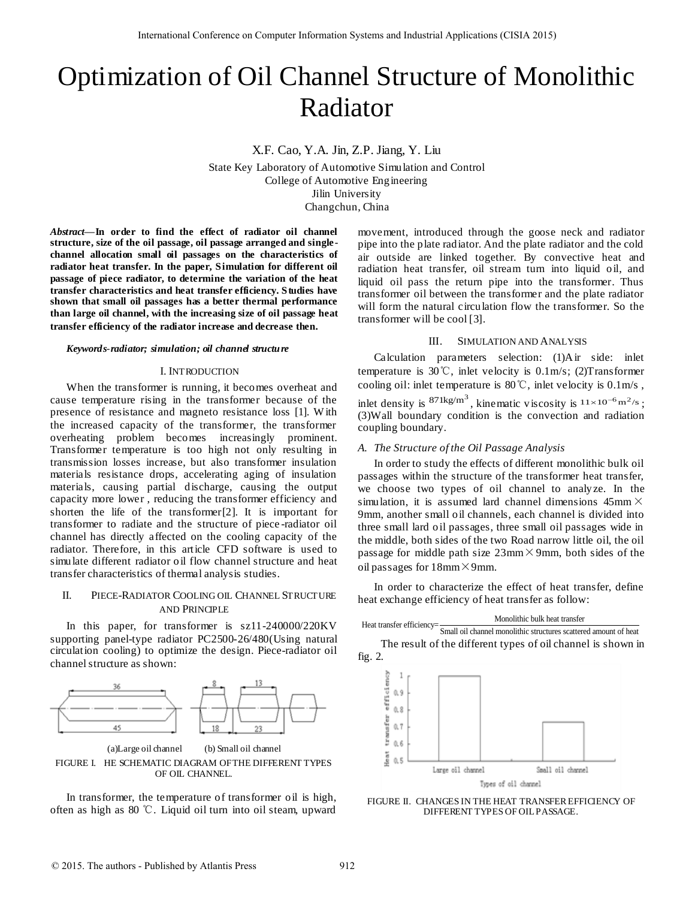# Optimization of Oil Channel Structure of Monolithic Radiator

X.F. Cao, Y.A. Jin, Z.P. Jiang, Y. Liu

State Key Laboratory of Automotive Simulation and Control College of Automotive Engineering Jilin University Changchun, China

*Abstract***—In order to find the effect of radiator oil channel structure, size of the oil passage, oil passage arranged and singlechannel allocation small oil passages on the characteristics of radiator heat transfer. In the paper, Simulation for different oil passage of piece radiator, to determine the variation of the heat transfer characteristics and heat transfer efficiency. Studies have shown that small oil passages has a better thermal performance than large oil channel, with the increasing size of oil passage heat transfer efficiency of the radiator increase and decrease then.**

# *Keywords-radiator; simulation; oil channel structure*

## I. INTRODUCTION

When the transformer is running, it becomes overheat and cause temperature rising in the transformer because of the presence of resistance and magneto resistance loss [1]. W ith the increased capacity of the transformer, the transformer overheating problem becomes increasingly prominent. Transformer temperature is too high not only resulting in transmission losses increase, but also transformer insulation materials resistance drops, accelerating aging of insulation materials, causing partial discharge, causing the output capacity more lower , reducing the transformer efficiency and shorten the life of the transformer[2]. It is important for transformer to radiate and the structure of piece -radiator oil channel has directly affected on the cooling capacity of the radiator. Therefore, in this article CFD software is used to simulate different radiator oil flow channel structure and heat transfer characteristics of thermal analysis studies. Internsional Conference on Computer is computer International Conference of  $\mathbf{R}$ . All  $\mathbf{R}$  Except  $\mathbf{R}$ . All  $\mathbf{R}$  Except  $\mathbf{R}$  and  $\mathbf{R}$  and  $\mathbf{R}$  and  $\mathbf{R}$  and  $\mathbf{R}$  and  $\mathbf{R}$  and  $\mathbf{R}$ 

# II. PIECE-RADIATOR COOLING OIL CHANNEL STRUCTURE AND PRINCIPLE

In this paper, for transformer is sz11-240000/220KV supporting panel-type radiator PC2500-26/480(Using natural circulation cooling) to optimize the design. Piece-radiator oil channel structure as shown:



(a)Large oil channel (b) Small oil channel FIGURE I. HE SCHEMATIC DIAGRAM OF THE DIFFERENT TYPES OF OIL CHANNEL.

In transformer, the temperature of transformer oil is high, often as high as 80 ℃. Liquid oil turn into oil steam, upward movement, introduced through the goose neck and radiator pipe into the plate radiator. And the plate radiator and the cold air outside are linked together. By convective heat and radiation heat transfer, oil stream turn into liquid oil, and liquid oil pass the return pipe into the transformer. Thus transformer oil between the transformer and the plate radiator will form the natural circulation flow the transformer. So the transformer will be cool [3].

## III. SIMULATION AND ANALYSIS

Calculation parameters selection: (1)Air side: inlet temperature is 30℃, inlet velocity is 0.1m/s; (2)Transformer cooling oil: inlet temperature is  $80^{\circ}$ C, inlet velocity is  $0.1 \text{m/s}$ , inlet density is  $871 \text{kg/m}^3$ , kinematic viscosity is  $11 \times 10^{-6} \text{m}^2/\text{s}$ ; (3)Wall boundary condition is the convection and radiation

# *A. The Structure of the Oil Passage Analysis*

coupling boundary.

In order to study the effects of different monolithic bulk oil passages within the structure of the transformer heat transfer, we choose two types of oil channel to analyze. In the simulation, it is assumed lard channel dimensions  $45 \text{mm} \times$ 9mm, another small oil channels, each channel is divided into three small lard oil passages, three small oil passages wide in the middle, both sides of the two Road narrow little oil, the oil passage for middle path size  $23 \text{mm} \times 9 \text{mm}$ , both sides of the oil passages for  $18$ mm $\times$ 9mm.

In order to characterize the effect of heat transfer, define heat exchange efficiency of heat transfer as follow:



FIGURE II. CHANGES IN THE HEAT TRANSFER EFFICIENCY OF DIFFERENT TYPES OF OIL PASSAGE.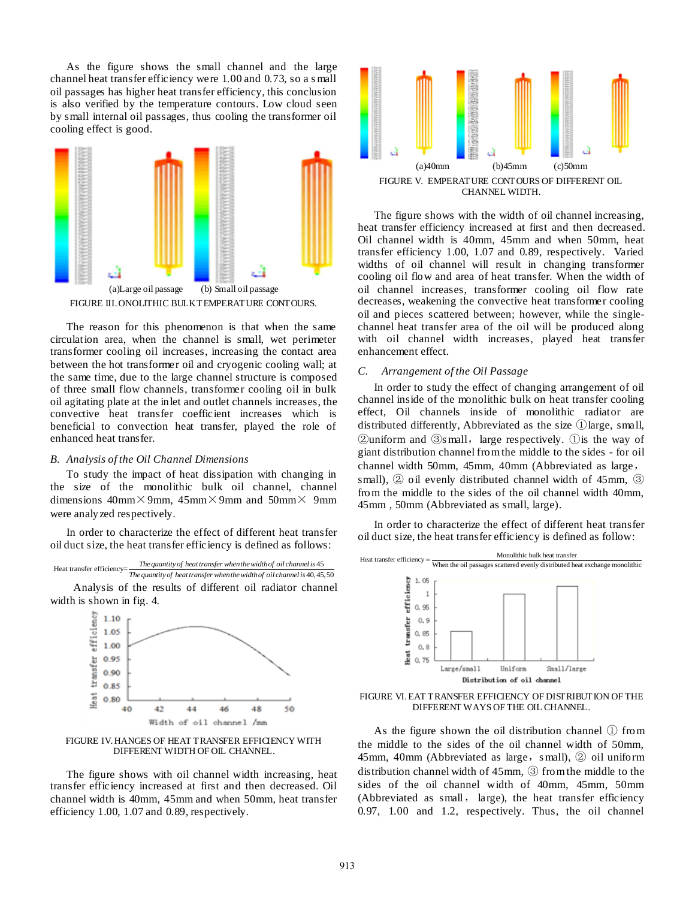As the figure shows the small channel and the large channel heat transfer efficiency were 1.00 and 0.73, so a s mall oil passages has higher heat transfer efficiency, this conclusion is also verified by the temperature contours. Low cloud seen by small internal oil passages, thus cooling the transformer oil cooling effect is good.



FIGURE III.ONOLITHIC BULK TEMPERATURE CONTOURS.

The reason for this phenomenon is that when the same circulation area, when the channel is small, wet perimeter transformer cooling oil increases, increasing the contact area between the hot transformer oil and cryogenic cooling wall; at the same time, due to the large channel structure is composed of three small flow channels, transformer cooling oil in bulk oil agitating plate at the inlet and outlet channels increases, the convective heat transfer coefficient increases which is beneficial to convection heat transfer, played the role of enhanced heat transfer.

# *B. Analysis of the Oil Channel Dimensions*

To study the impact of heat dissipation with changing in the size of the monolithic bulk oil channel, channel dimensions  $40 \text{mm} \times 9 \text{mm}$ ,  $45 \text{mm} \times 9 \text{mm}$  and  $50 \text{mm} \times 9 \text{mm}$ were analyzed respectively.

In order to characterize the effect of different heat transfer oil duct size, the heat transfer efficiency is defined as follows:



Analysis of the results of different oil radiator channel width is shown in fig. 4.



FIGURE IV.HANGES OF HEAT TRANSFER EFFICIENCY WITH DIFFERENT WIDTH OF OIL CHANNEL.

The figure shows with oil channel width increasing, heat transfer efficiency increased at first and then decreased. Oil channel width is 40mm, 45mm and when 50mm, heat transfer efficiency 1.00, 1.07 and 0.89, respectively.



The figure shows with the width of oil channel increasing, heat transfer efficiency increased at first and then decreased. Oil channel width is 40mm, 45mm and when 50mm, heat transfer efficiency 1.00, 1.07 and 0.89, respectively. Varied widths of oil channel will result in changing transformer cooling oil flow and area of heat transfer. When the width of oil channel increases, transformer cooling oil flow rate decreases, weakening the convective heat transformer cooling oil and pieces scattered between; however, while the singlechannel heat transfer area of the oil will be produced along with oil channel width increases, played heat transfer enhancement effect.

## *C. Arrangement of the Oil Passage*

In order to study the effect of changing arrangement of oil channel inside of the monolithic bulk on heat transfer cooling effect, Oil channels inside of monolithic radiator are distributed differently, Abbreviated as the size ①large, small,  $\Omega$ uniform and  $\Omega$ s mall, large respectively.  $\Omega$  is the way of giant distribution channel from the middle to the sides - for oil channel width 50mm, 45mm, 40mm (Abbreviated as large, small), ② oil evenly distributed channel width of 45mm, ③ from the middle to the sides of the oil channel width 40mm, 45mm , 50mm (Abbreviated as small, large).

In order to characterize the effect of different heat transfer oil duct size, the heat transfer efficiency is defined as follow:



FIGURE VI.EAT TRANSFER EFFICIENCY OF DISTRIBUTION OF THE DIFFERENT WAYS OF THE OIL CHANNEL.

As the figure shown the oil distribution channel ① from the middle to the sides of the oil channel width of 50mm, 45mm, 40mm (Abbreviated as large, small),  $\circled{2}$  oil uniform distribution channel width of 45mm, ③ from the middle to the sides of the oil channel width of 40mm, 45mm, 50mm (Abbreviated as small, large), the heat transfer efficiency 0.97, 1.00 and 1.2, respectively. Thus, the oil channel